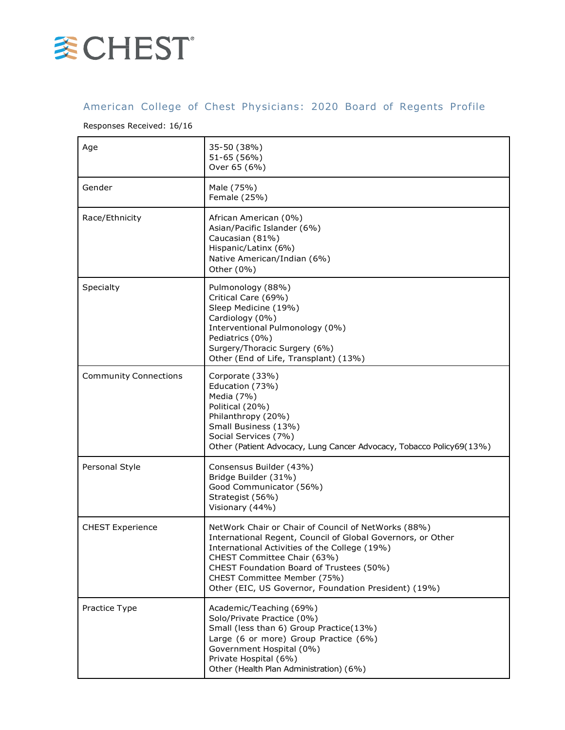

## American College of Chest Physicians: 2020 Board of Regents Profile

## Responses Received: 16/16

| Age                          | 35-50 (38%)<br>51-65 (56%)<br>Over 65 (6%)                                                                                                                                                                                                                                                                                             |
|------------------------------|----------------------------------------------------------------------------------------------------------------------------------------------------------------------------------------------------------------------------------------------------------------------------------------------------------------------------------------|
| Gender                       | Male (75%)<br>Female (25%)                                                                                                                                                                                                                                                                                                             |
| Race/Ethnicity               | African American (0%)<br>Asian/Pacific Islander (6%)<br>Caucasian (81%)<br>Hispanic/Latinx (6%)<br>Native American/Indian (6%)<br>Other (0%)                                                                                                                                                                                           |
| Specialty                    | Pulmonology (88%)<br>Critical Care (69%)<br>Sleep Medicine (19%)<br>Cardiology (0%)<br>Interventional Pulmonology (0%)<br>Pediatrics (0%)<br>Surgery/Thoracic Surgery (6%)<br>Other (End of Life, Transplant) (13%)                                                                                                                    |
| <b>Community Connections</b> | Corporate (33%)<br>Education (73%)<br>Media (7%)<br>Political (20%)<br>Philanthropy (20%)<br>Small Business (13%)<br>Social Services (7%)<br>Other (Patient Advocacy, Lung Cancer Advocacy, Tobacco Policy69(13%)                                                                                                                      |
| Personal Style               | Consensus Builder (43%)<br>Bridge Builder (31%)<br>Good Communicator (56%)<br>Strategist (56%)<br>Visionary (44%)                                                                                                                                                                                                                      |
| <b>CHEST Experience</b>      | NetWork Chair or Chair of Council of NetWorks (88%)<br>International Regent, Council of Global Governors, or Other<br>International Activities of the College (19%)<br>CHEST Committee Chair (63%)<br>CHEST Foundation Board of Trustees (50%)<br>CHEST Committee Member (75%)<br>Other (EIC, US Governor, Foundation President) (19%) |
| Practice Type                | Academic/Teaching (69%)<br>Solo/Private Practice (0%)<br>Small (less than 6) Group Practice(13%)<br>Large (6 or more) Group Practice (6%)<br>Government Hospital (0%)<br>Private Hospital (6%)<br>Other (Health Plan Administration) (6%)                                                                                              |